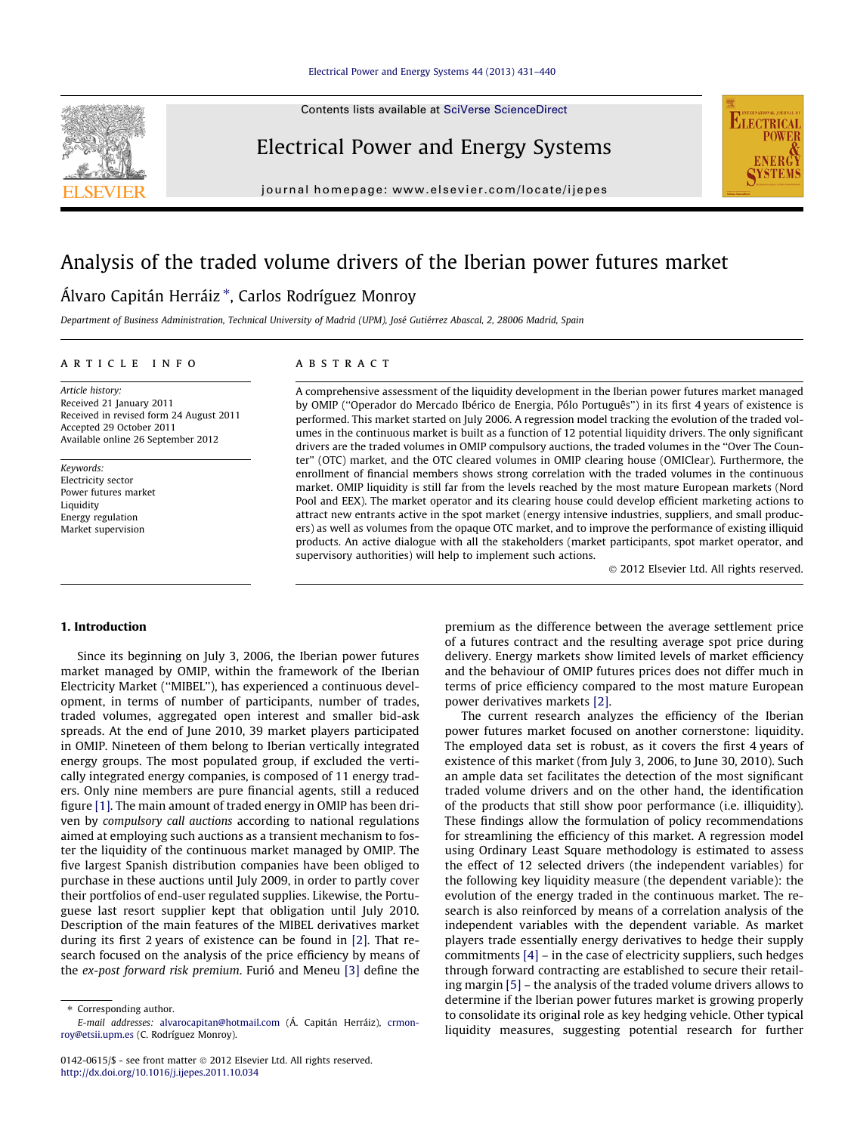Contents lists available at [SciVerse ScienceDirect](http://www.sciencedirect.com/science/journal/01420615)

Electrical Power and Energy Systems



journal homepage: [www.elsevier.com/locate/ijepes](http://www.elsevier.com/locate/ijepes)

# Analysis of the traded volume drivers of the Iberian power futures market

### Álvaro Capitán Herráiz \*, Carlos Rodríguez Monroy

Department of Business Administration, Technical University of Madrid (UPM), José Gutiérrez Abascal, 2, 28006 Madrid, Spain

#### article info

Article history: Received 21 January 2011 Received in revised form 24 August 2011 Accepted 29 October 2011 Available online 26 September 2012

Keywords: Electricity sector Power futures market Liquidity Energy regulation Market supervision

#### **ABSTRACT**

A comprehensive assessment of the liquidity development in the Iberian power futures market managed by OMIP (''Operador do Mercado Ibérico de Energia, Pólo Português'') in its first 4 years of existence is performed. This market started on July 2006. A regression model tracking the evolution of the traded volumes in the continuous market is built as a function of 12 potential liquidity drivers. The only significant drivers are the traded volumes in OMIP compulsory auctions, the traded volumes in the ''Over The Counter'' (OTC) market, and the OTC cleared volumes in OMIP clearing house (OMIClear). Furthermore, the enrollment of financial members shows strong correlation with the traded volumes in the continuous market. OMIP liquidity is still far from the levels reached by the most mature European markets (Nord Pool and EEX). The market operator and its clearing house could develop efficient marketing actions to attract new entrants active in the spot market (energy intensive industries, suppliers, and small producers) as well as volumes from the opaque OTC market, and to improve the performance of existing illiquid products. An active dialogue with all the stakeholders (market participants, spot market operator, and supervisory authorities) will help to implement such actions.

- 2012 Elsevier Ltd. All rights reserved.

#### 1. Introduction

Since its beginning on July 3, 2006, the Iberian power futures market managed by OMIP, within the framework of the Iberian Electricity Market (''MIBEL''), has experienced a continuous development, in terms of number of participants, number of trades, traded volumes, aggregated open interest and smaller bid-ask spreads. At the end of June 2010, 39 market players participated in OMIP. Nineteen of them belong to Iberian vertically integrated energy groups. The most populated group, if excluded the vertically integrated energy companies, is composed of 11 energy traders. Only nine members are pure financial agents, still a reduced figure [\[1\]](#page--1-0). The main amount of traded energy in OMIP has been driven by compulsory call auctions according to national regulations aimed at employing such auctions as a transient mechanism to foster the liquidity of the continuous market managed by OMIP. The five largest Spanish distribution companies have been obliged to purchase in these auctions until July 2009, in order to partly cover their portfolios of end-user regulated supplies. Likewise, the Portuguese last resort supplier kept that obligation until July 2010. Description of the main features of the MIBEL derivatives market during its first 2 years of existence can be found in [\[2\]](#page--1-0). That research focused on the analysis of the price efficiency by means of the ex-post forward risk premium. Furió and Meneu [\[3\]](#page--1-0) define the

premium as the difference between the average settlement price of a futures contract and the resulting average spot price during delivery. Energy markets show limited levels of market efficiency and the behaviour of OMIP futures prices does not differ much in terms of price efficiency compared to the most mature European power derivatives markets [\[2\]](#page--1-0).

The current research analyzes the efficiency of the Iberian power futures market focused on another cornerstone: liquidity. The employed data set is robust, as it covers the first 4 years of existence of this market (from July 3, 2006, to June 30, 2010). Such an ample data set facilitates the detection of the most significant traded volume drivers and on the other hand, the identification of the products that still show poor performance (i.e. illiquidity). These findings allow the formulation of policy recommendations for streamlining the efficiency of this market. A regression model using Ordinary Least Square methodology is estimated to assess the effect of 12 selected drivers (the independent variables) for the following key liquidity measure (the dependent variable): the evolution of the energy traded in the continuous market. The research is also reinforced by means of a correlation analysis of the independent variables with the dependent variable. As market players trade essentially energy derivatives to hedge their supply commitments  $[4]$  – in the case of electricity suppliers, such hedges through forward contracting are established to secure their retailing margin [\[5\]](#page--1-0) – the analysis of the traded volume drivers allows to determine if the Iberian power futures market is growing properly to consolidate its original role as key hedging vehicle. Other typical liquidity measures, suggesting potential research for further

<sup>⇑</sup> Corresponding author. E-mail addresses: [alvarocapitan@hotmail.com](mailto:alvarocapitan@hotmail.com) (Á. Capitán Herráiz), [crmon](mailto:crmonroy@etsii.upm.es)[roy@etsii.upm.es](mailto:crmonroy@etsii.upm.es) (C. Rodríguez Monroy).

<sup>0142-0615/\$ -</sup> see front matter © 2012 Elsevier Ltd. All rights reserved. <http://dx.doi.org/10.1016/j.ijepes.2011.10.034>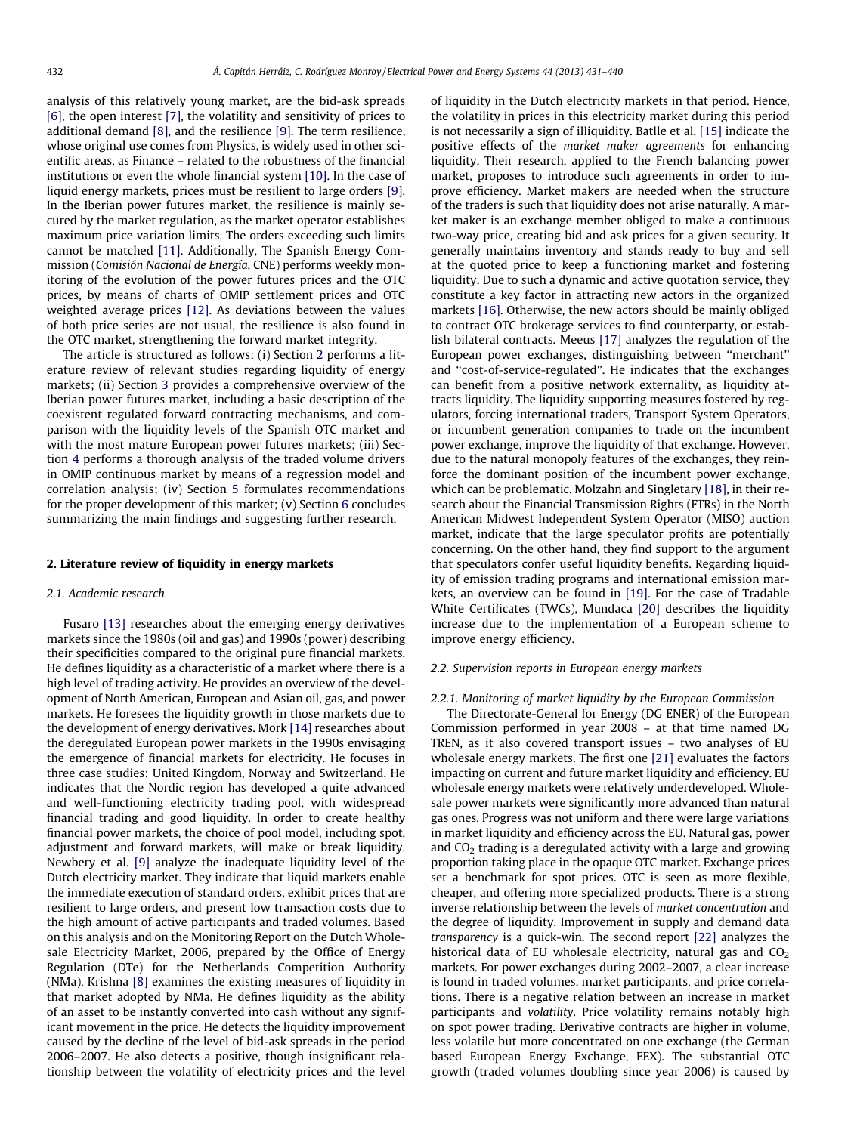analysis of this relatively young market, are the bid-ask spreads [\[6\]](#page--1-0), the open interest [\[7\],](#page--1-0) the volatility and sensitivity of prices to additional demand [\[8\],](#page--1-0) and the resilience [\[9\].](#page--1-0) The term resilience, whose original use comes from Physics, is widely used in other scientific areas, as Finance – related to the robustness of the financial institutions or even the whole financial system [\[10\].](#page--1-0) In the case of liquid energy markets, prices must be resilient to large orders [\[9\].](#page--1-0) In the Iberian power futures market, the resilience is mainly secured by the market regulation, as the market operator establishes maximum price variation limits. The orders exceeding such limits cannot be matched [\[11\]](#page--1-0). Additionally, The Spanish Energy Commission (Comisión Nacional de Energía, CNE) performs weekly monitoring of the evolution of the power futures prices and the OTC prices, by means of charts of OMIP settlement prices and OTC weighted average prices [\[12\]](#page--1-0). As deviations between the values of both price series are not usual, the resilience is also found in the OTC market, strengthening the forward market integrity.

The article is structured as follows: (i) Section 2 performs a literature review of relevant studies regarding liquidity of energy markets; (ii) Section [3](#page--1-0) provides a comprehensive overview of the Iberian power futures market, including a basic description of the coexistent regulated forward contracting mechanisms, and comparison with the liquidity levels of the Spanish OTC market and with the most mature European power futures markets; (iii) Section [4](#page--1-0) performs a thorough analysis of the traded volume drivers in OMIP continuous market by means of a regression model and correlation analysis; (iv) Section [5](#page--1-0) formulates recommendations for the proper development of this market; (v) Section [6](#page--1-0) concludes summarizing the main findings and suggesting further research.

#### 2. Literature review of liquidity in energy markets

#### 2.1. Academic research

Fusaro [\[13\]](#page--1-0) researches about the emerging energy derivatives markets since the 1980s (oil and gas) and 1990s (power) describing their specificities compared to the original pure financial markets. He defines liquidity as a characteristic of a market where there is a high level of trading activity. He provides an overview of the development of North American, European and Asian oil, gas, and power markets. He foresees the liquidity growth in those markets due to the development of energy derivatives. Mork [\[14\]](#page--1-0) researches about the deregulated European power markets in the 1990s envisaging the emergence of financial markets for electricity. He focuses in three case studies: United Kingdom, Norway and Switzerland. He indicates that the Nordic region has developed a quite advanced and well-functioning electricity trading pool, with widespread financial trading and good liquidity. In order to create healthy financial power markets, the choice of pool model, including spot, adjustment and forward markets, will make or break liquidity. Newbery et al. [\[9\]](#page--1-0) analyze the inadequate liquidity level of the Dutch electricity market. They indicate that liquid markets enable the immediate execution of standard orders, exhibit prices that are resilient to large orders, and present low transaction costs due to the high amount of active participants and traded volumes. Based on this analysis and on the Monitoring Report on the Dutch Wholesale Electricity Market, 2006, prepared by the Office of Energy Regulation (DTe) for the Netherlands Competition Authority (NMa), Krishna [\[8\]](#page--1-0) examines the existing measures of liquidity in that market adopted by NMa. He defines liquidity as the ability of an asset to be instantly converted into cash without any significant movement in the price. He detects the liquidity improvement caused by the decline of the level of bid-ask spreads in the period 2006–2007. He also detects a positive, though insignificant relationship between the volatility of electricity prices and the level of liquidity in the Dutch electricity markets in that period. Hence, the volatility in prices in this electricity market during this period is not necessarily a sign of illiquidity. Batlle et al. [\[15\]](#page--1-0) indicate the positive effects of the market maker agreements for enhancing liquidity. Their research, applied to the French balancing power market, proposes to introduce such agreements in order to improve efficiency. Market makers are needed when the structure of the traders is such that liquidity does not arise naturally. A market maker is an exchange member obliged to make a continuous two-way price, creating bid and ask prices for a given security. It generally maintains inventory and stands ready to buy and sell at the quoted price to keep a functioning market and fostering liquidity. Due to such a dynamic and active quotation service, they constitute a key factor in attracting new actors in the organized markets [\[16\]](#page--1-0). Otherwise, the new actors should be mainly obliged to contract OTC brokerage services to find counterparty, or establish bilateral contracts. Meeus [\[17\]](#page--1-0) analyzes the regulation of the European power exchanges, distinguishing between ''merchant'' and ''cost-of-service-regulated''. He indicates that the exchanges can benefit from a positive network externality, as liquidity attracts liquidity. The liquidity supporting measures fostered by regulators, forcing international traders, Transport System Operators, or incumbent generation companies to trade on the incumbent power exchange, improve the liquidity of that exchange. However, due to the natural monopoly features of the exchanges, they reinforce the dominant position of the incumbent power exchange, which can be problematic. Molzahn and Singletary [\[18\],](#page--1-0) in their research about the Financial Transmission Rights (FTRs) in the North American Midwest Independent System Operator (MISO) auction market, indicate that the large speculator profits are potentially concerning. On the other hand, they find support to the argument that speculators confer useful liquidity benefits. Regarding liquidity of emission trading programs and international emission markets, an overview can be found in [\[19\]](#page--1-0). For the case of Tradable White Certificates (TWCs), Mundaca [\[20\]](#page--1-0) describes the liquidity increase due to the implementation of a European scheme to improve energy efficiency.

#### 2.2. Supervision reports in European energy markets

#### 2.2.1. Monitoring of market liquidity by the European Commission

The Directorate-General for Energy (DG ENER) of the European Commission performed in year 2008 – at that time named DG TREN, as it also covered transport issues – two analyses of EU wholesale energy markets. The first one [\[21\]](#page--1-0) evaluates the factors impacting on current and future market liquidity and efficiency. EU wholesale energy markets were relatively underdeveloped. Wholesale power markets were significantly more advanced than natural gas ones. Progress was not uniform and there were large variations in market liquidity and efficiency across the EU. Natural gas, power and  $CO<sub>2</sub>$  trading is a deregulated activity with a large and growing proportion taking place in the opaque OTC market. Exchange prices set a benchmark for spot prices. OTC is seen as more flexible, cheaper, and offering more specialized products. There is a strong inverse relationship between the levels of market concentration and the degree of liquidity. Improvement in supply and demand data transparency is a quick-win. The second report [\[22\]](#page--1-0) analyzes the historical data of EU wholesale electricity, natural gas and  $CO<sub>2</sub>$ markets. For power exchanges during 2002–2007, a clear increase is found in traded volumes, market participants, and price correlations. There is a negative relation between an increase in market participants and volatility. Price volatility remains notably high on spot power trading. Derivative contracts are higher in volume, less volatile but more concentrated on one exchange (the German based European Energy Exchange, EEX). The substantial OTC growth (traded volumes doubling since year 2006) is caused by